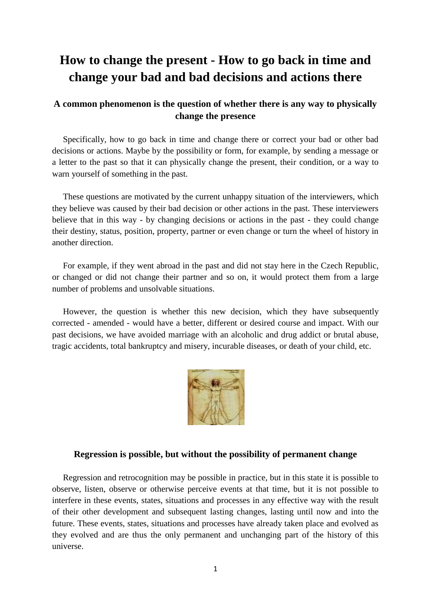# **How to change the present - How to go back in time and change your bad and bad decisions and actions there**

# **A common phenomenon is the question of whether there is any way to physically change the presence**

 Specifically, how to go back in time and change there or correct your bad or other bad decisions or actions. Maybe by the possibility or form, for example, by sending a message or a letter to the past so that it can physically change the present, their condition, or a way to warn yourself of something in the past.

 These questions are motivated by the current unhappy situation of the interviewers, which they believe was caused by their bad decision or other actions in the past. These interviewers believe that in this way - by changing decisions or actions in the past - they could change their destiny, status, position, property, partner or even change or turn the wheel of history in another direction.

 For example, if they went abroad in the past and did not stay here in the Czech Republic, or changed or did not change their partner and so on, it would protect them from a large number of problems and unsolvable situations.

 However, the question is whether this new decision, which they have subsequently corrected - amended - would have a better, different or desired course and impact. With our past decisions, we have avoided marriage with an alcoholic and drug addict or brutal abuse, tragic accidents, total bankruptcy and misery, incurable diseases, or death of your child, etc.



## **Regression is possible, but without the possibility of permanent change**

 Regression and retrocognition may be possible in practice, but in this state it is possible to observe, listen, observe or otherwise perceive events at that time, but it is not possible to interfere in these events, states, situations and processes in any effective way with the result of their other development and subsequent lasting changes, lasting until now and into the future. These events, states, situations and processes have already taken place and evolved as they evolved and are thus the only permanent and unchanging part of the history of this universe.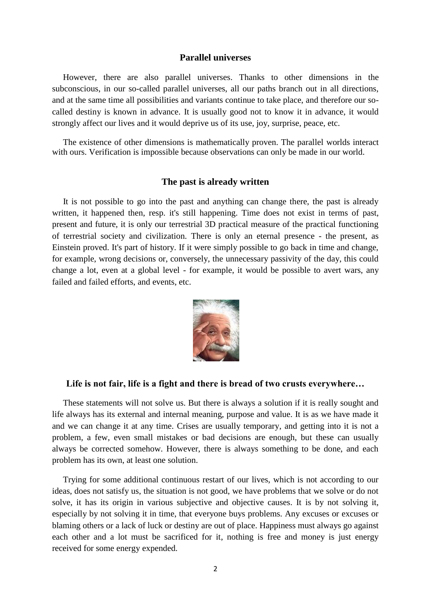#### **Parallel universes**

 However, there are also parallel universes. Thanks to other dimensions in the subconscious, in our so-called parallel universes, all our paths branch out in all directions, and at the same time all possibilities and variants continue to take place, and therefore our socalled destiny is known in advance. It is usually good not to know it in advance, it would strongly affect our lives and it would deprive us of its use, joy, surprise, peace, etc.

 The existence of other dimensions is mathematically proven. The parallel worlds interact with ours. Verification is impossible because observations can only be made in our world.

#### **The past is already written**

 It is not possible to go into the past and anything can change there, the past is already written, it happened then, resp. it's still happening. Time does not exist in terms of past, present and future, it is only our terrestrial 3D practical measure of the practical functioning of terrestrial society and civilization. There is only an eternal presence - the present, as Einstein proved. It's part of history. If it were simply possible to go back in time and change, for example, wrong decisions or, conversely, the unnecessary passivity of the day, this could change a lot, even at a global level - for example, it would be possible to avert wars, any failed and failed efforts, and events, etc.



## **Life is not fair, life is a fight and there is bread of two crusts everywhere…**

 These statements will not solve us. But there is always a solution if it is really sought and life always has its external and internal meaning, purpose and value. It is as we have made it and we can change it at any time. Crises are usually temporary, and getting into it is not a problem, a few, even small mistakes or bad decisions are enough, but these can usually always be corrected somehow. However, there is always something to be done, and each problem has its own, at least one solution.

 Trying for some additional continuous restart of our lives, which is not according to our ideas, does not satisfy us, the situation is not good, we have problems that we solve or do not solve, it has its origin in various subjective and objective causes. It is by not solving it, especially by not solving it in time, that everyone buys problems. Any excuses or excuses or blaming others or a lack of luck or destiny are out of place. Happiness must always go against each other and a lot must be sacrificed for it, nothing is free and money is just energy received for some energy expended.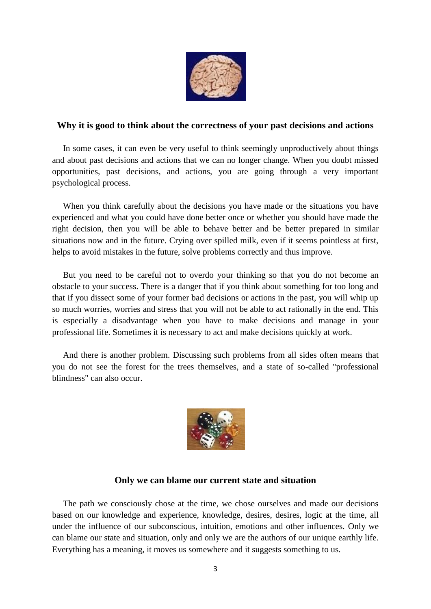

# **Why it is good to think about the correctness of your past decisions and actions**

 In some cases, it can even be very useful to think seemingly unproductively about things and about past decisions and actions that we can no longer change. When you doubt missed opportunities, past decisions, and actions, you are going through a very important psychological process.

 When you think carefully about the decisions you have made or the situations you have experienced and what you could have done better once or whether you should have made the right decision, then you will be able to behave better and be better prepared in similar situations now and in the future. Crying over spilled milk, even if it seems pointless at first, helps to avoid mistakes in the future, solve problems correctly and thus improve.

 But you need to be careful not to overdo your thinking so that you do not become an obstacle to your success. There is a danger that if you think about something for too long and that if you dissect some of your former bad decisions or actions in the past, you will whip up so much worries, worries and stress that you will not be able to act rationally in the end. This is especially a disadvantage when you have to make decisions and manage in your professional life. Sometimes it is necessary to act and make decisions quickly at work.

 And there is another problem. Discussing such problems from all sides often means that you do not see the forest for the trees themselves, and a state of so-called "professional blindness" can also occur.



# **Only we can blame our current state and situation**

 The path we consciously chose at the time, we chose ourselves and made our decisions based on our knowledge and experience, knowledge, desires, desires, logic at the time, all under the influence of our subconscious, intuition, emotions and other influences. Only we can blame our state and situation, only and only we are the authors of our unique earthly life. Everything has a meaning, it moves us somewhere and it suggests something to us.